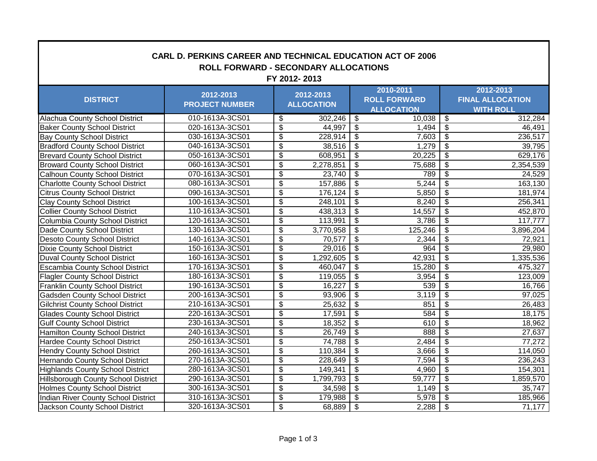| <b>CARL D. PERKINS CAREER AND TECHNICAL EDUCATION ACT OF 2006</b><br>ROLL FORWARD - SECONDARY ALLOCATIONS<br>FY 2012-2013 |                                    |                                  |           |                                                       |         |                                                          |           |  |
|---------------------------------------------------------------------------------------------------------------------------|------------------------------------|----------------------------------|-----------|-------------------------------------------------------|---------|----------------------------------------------------------|-----------|--|
| <b>DISTRICT</b>                                                                                                           | 2012-2013<br><b>PROJECT NUMBER</b> | 2012-2013<br><b>ALLOCATION</b>   |           | 2010-2011<br><b>ROLL FORWARD</b><br><b>ALLOCATION</b> |         | 2012-2013<br><b>FINAL ALLOCATION</b><br><b>WITH ROLL</b> |           |  |
| Alachua County School District                                                                                            | 010-1613A-3CS01                    | \$                               | 302,246   | $\overline{\boldsymbol{\mathfrak{s}}}$                | 10,038  | \$                                                       | 312,284   |  |
| <b>Baker County School District</b>                                                                                       | 020-1613A-3CS01                    | $\boldsymbol{\mathsf{S}}$        | 44,997    | \$                                                    | 1,494   | \$                                                       | 46,491    |  |
| <b>Bay County School District</b>                                                                                         | 030-1613A-3CS01                    | $\overline{\mathbf{S}}$          | 228,914   | $\overline{\boldsymbol{\mathfrak{s}}}$                | 7,603   | $\overline{\mathbf{e}}$                                  | 236,517   |  |
| <b>Bradford County School District</b>                                                                                    | 040-1613A-3CS01                    | $\overline{\boldsymbol{\theta}}$ | 38,516    | $\overline{\boldsymbol{\mathfrak{s}}}$                | 1,279   | $\overline{\$}$                                          | 39,795    |  |
| <b>Brevard County School District</b>                                                                                     | 050-1613A-3CS01                    | $\boldsymbol{\theta}$            | 608,951   | $\boldsymbol{\theta}$                                 | 20,225  | $\overline{\boldsymbol{\theta}}$                         | 629,176   |  |
| <b>Broward County School District</b>                                                                                     | 060-1613A-3CS01                    | $\overline{\boldsymbol{\theta}}$ | 2,278,851 | $\overline{\boldsymbol{\theta}}$                      | 75,688  | $\overline{\$}$                                          | 2,354,539 |  |
| <b>Calhoun County School District</b>                                                                                     | 070-1613A-3CS01                    | $\overline{\mathcal{S}}$         | 23,740    | $\overline{\$}$                                       | 789     | $\overline{\mathcal{S}}$                                 | 24,529    |  |
| <b>Charlotte County School District</b>                                                                                   | 080-1613A-3CS01                    | $\overline{\mathbf{s}}$          | 157,886   | $\overline{\mathfrak{s}}$                             | 5,244   | $\overline{\mathbf{3}}$                                  | 163,130   |  |
| <b>Citrus County School District</b>                                                                                      | 090-1613A-3CS01                    | $\overline{\boldsymbol{\theta}}$ | 176,124   | $\overline{\mathbf{s}}$                               | 5,850   | $\overline{\mathbf{3}}$                                  | 181,974   |  |
| <b>Clay County School District</b>                                                                                        | 100-1613A-3CS01                    | $\boldsymbol{\theta}$            | 248,101   | \$                                                    | 8,240   | \$                                                       | 256,341   |  |
| <b>Collier County School District</b>                                                                                     | 110-1613A-3CS01                    | $\overline{\mathbf{S}}$          | 438,313   | $\boldsymbol{\mathsf{S}}$                             | 14,557  | $\overline{\mathcal{S}}$                                 | 452,870   |  |
| Columbia County School District                                                                                           | 120-1613A-3CS01                    | $\boldsymbol{\theta}$            | 113,991   | $\overline{\boldsymbol{\theta}}$                      | 3,786   | \$                                                       | 117,777   |  |
| Dade County School District                                                                                               | 130-1613A-3CS01                    | $\overline{\boldsymbol{\theta}}$ | 3,770,958 | $\overline{\boldsymbol{\mathfrak{s}}}$                | 125,246 | $\overline{\mathbf{e}}$                                  | 3,896,204 |  |
| Desoto County School District                                                                                             | 140-1613A-3CS01                    | $\boldsymbol{\theta}$            | 70,577    | $\boldsymbol{\mathsf{S}}$                             | 2,344   | $\overline{\$}$                                          | 72,921    |  |
| <b>Dixie County School District</b>                                                                                       | 150-1613A-3CS01                    | $\overline{\mathcal{S}}$         | 29,016    | $\overline{\boldsymbol{\mathfrak{s}}}$                | 964     | $\overline{\mathcal{S}}$                                 | 29,980    |  |
| <b>Duval County School District</b>                                                                                       | 160-1613A-3CS01                    | $\overline{\mathbf{s}}$          | 1,292,605 | $\overline{\mathfrak{s}}$                             | 42,931  | $\overline{\mathbf{3}}$                                  | 1,335,536 |  |
| <b>Escambia County School District</b>                                                                                    | 170-1613A-3CS01                    | $\boldsymbol{\mathsf{S}}$        | 460,047   | $\overline{\mathfrak{s}}$                             | 15,280  | $\overline{\mathbf{3}}$                                  | 475,327   |  |
| <b>Flagler County School District</b>                                                                                     | 180-1613A-3CS01                    | \$                               | 119,055   | $\boldsymbol{\mathsf{S}}$                             | 3,954   | \$                                                       | 123,009   |  |
| <b>Franklin County School District</b>                                                                                    | 190-1613A-3CS01                    | \$                               | 16,227    | $\boldsymbol{\mathsf{S}}$                             | 539     | $\overline{\mathcal{S}}$                                 | 16,766    |  |
| <b>Gadsden County School District</b>                                                                                     | 200-1613A-3CS01                    | $\overline{\mathbf{S}}$          | 93,906    | $\overline{\boldsymbol{\mathfrak{s}}}$                | 3,119   | $\overline{\mathbf{3}}$                                  | 97,025    |  |
| <b>Gilchrist County School District</b>                                                                                   | 210-1613A-3CS01                    | $\overline{\boldsymbol{\theta}}$ | 25,632    | $\overline{\boldsymbol{\theta}}$                      | 851     | $\overline{\$}$                                          | 26,483    |  |
| <b>Glades County School District</b>                                                                                      | 220-1613A-3CS01                    | $\overline{\boldsymbol{\theta}}$ | 17,591    | $\overline{\boldsymbol{\theta}}$                      | 584     | $\overline{\mathbf{3}}$                                  | 18,175    |  |
| <b>Gulf County School District</b>                                                                                        | 230-1613A-3CS01                    | $\boldsymbol{\theta}$            | 18,352    | $\boldsymbol{\theta}$                                 | 610     | $\overline{\$}$                                          | 18,962    |  |
| <b>Hamilton County School District</b>                                                                                    | 240-1613A-3CS01                    | $\overline{\boldsymbol{\theta}}$ | 26,749    | $\overline{\$}$                                       | 888     | $\overline{\boldsymbol{\theta}}$                         | 27,637    |  |
| <b>Hardee County School District</b>                                                                                      | 250-1613A-3CS01                    | \$                               | 74,788    | $\overline{\$}$                                       | 2,484   | $\overline{\$}$                                          | 77,272    |  |
| <b>Hendry County School District</b>                                                                                      | 260-1613A-3CS01                    | $\overline{\mathbf{S}}$          | 110,384   | s)                                                    | 3,666   | \$                                                       | 114,050   |  |
| Hernando County School District                                                                                           | 270-1613A-3CS01                    | $\overline{\mathbf{S}}$          | 228,649   | s)                                                    | 7,594   | \$                                                       | 236,243   |  |
| <b>Highlands County School District</b>                                                                                   | 280-1613A-3CS01                    | $\overline{\$}$                  | 149,341   | $\overline{\$}$                                       | 4,960   | $\overline{\$}$                                          | 154,301   |  |
| <b>Hillsborough County School District</b>                                                                                | 290-1613A-3CS01                    | $\overline{\boldsymbol{\theta}}$ | 1,799,793 | $\overline{\$}$                                       | 59,777  | $\overline{\$}$                                          | 1,859,570 |  |
| <b>Holmes County School District</b>                                                                                      | 300-1613A-3CS01                    | \$                               | 34,598    | $\boldsymbol{\theta}$                                 | 1,149   | $\overline{\boldsymbol{\theta}}$                         | 35,747    |  |
| Indian River County School District                                                                                       | 310-1613A-3CS01                    | $\boldsymbol{\theta}$            | 179,988   | $\boldsymbol{\theta}$                                 | 5,978   | \$                                                       | 185,966   |  |
| Jackson County School District                                                                                            | 320-1613A-3CS01                    | $\overline{\mathbf{e}}$          | 68,889    | $\overline{\boldsymbol{\mathfrak{s}}}$                | 2,288   | $\overline{\boldsymbol{\theta}}$                         | 71,177    |  |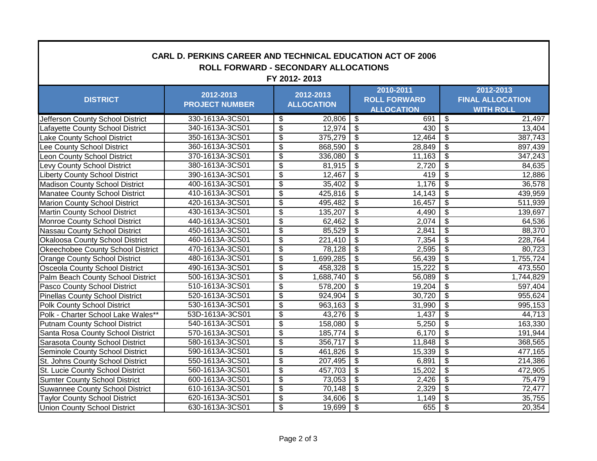| <b>CARL D. PERKINS CAREER AND TECHNICAL EDUCATION ACT OF 2006</b><br><b>ROLL FORWARD - SECONDARY ALLOCATIONS</b><br>FY 2012-2013 |                                    |                                        |           |                                                       |                     |                                                          |           |  |
|----------------------------------------------------------------------------------------------------------------------------------|------------------------------------|----------------------------------------|-----------|-------------------------------------------------------|---------------------|----------------------------------------------------------|-----------|--|
| <b>DISTRICT</b>                                                                                                                  | 2012-2013<br><b>PROJECT NUMBER</b> | 2012-2013<br><b>ALLOCATION</b>         |           | 2010-2011<br><b>ROLL FORWARD</b><br><b>ALLOCATION</b> |                     | 2012-2013<br><b>FINAL ALLOCATION</b><br><b>WITH ROLL</b> |           |  |
| Jefferson County School District                                                                                                 | 330-1613A-3CS01                    | \$                                     | 20,806    | $\sqrt[6]{3}$                                         | 691                 | \$                                                       | 21,497    |  |
| Lafayette County School District                                                                                                 | 340-1613A-3CS01                    | \$                                     | 12,974    | $\overline{\mathbf{3}}$                               | 430                 | \$                                                       | 13,404    |  |
| Lake County School District                                                                                                      | 350-1613A-3CS01                    | \$                                     | 375,279   | $\boldsymbol{\mathsf{\$}}$                            | $\overline{12,464}$ | \$                                                       | 387,743   |  |
| Lee County School District                                                                                                       | 360-1613A-3CS01                    | $\overline{\$}$                        | 868,590   | $\boldsymbol{\mathsf{S}}$                             | 28,849              | $\overline{\$}$                                          | 897,439   |  |
| Leon County School District                                                                                                      | 370-1613A-3CS01                    | $\overline{\$}$                        | 336,080   | $\overline{\$}$                                       | 11,163              | \$                                                       | 347,243   |  |
| Levy County School District                                                                                                      | 380-1613A-3CS01                    | $\overline{\$}$                        | 81,915    | $\overline{\$}$                                       | 2,720               | $\overline{\mathcal{S}}$                                 | 84,635    |  |
| <b>Liberty County School District</b>                                                                                            | 390-1613A-3CS01                    | $\overline{\boldsymbol{\mathfrak{s}}}$ | 12,467    | $\overline{\mathfrak{s}}$                             | 419                 | $\overline{\$}$                                          | 12,886    |  |
| <b>Madison County School District</b>                                                                                            | 400-1613A-3CS01                    | $\overline{\boldsymbol{\mathfrak{s}}}$ | 35,402    | $\overline{\mathcal{S}}$                              | 1,176               | $\overline{\mathcal{S}}$                                 | 36,578    |  |
| Manatee County School District                                                                                                   | 410-1613A-3CS01                    | $\overline{\boldsymbol{\mathfrak{s}}}$ | 425,816   | $\overline{\mathcal{S}}$                              | 14,143              | $\overline{\mathbf{s}}$                                  | 439,959   |  |
| <b>Marion County School District</b>                                                                                             | 420-1613A-3CS01                    | $\overline{\boldsymbol{\theta}}$       | 495,482   | s)                                                    | 16,457              | $\overline{\$}$                                          | 511,939   |  |
| <b>Martin County School District</b>                                                                                             | 430-1613A-3CS01                    | $\overline{\mathbf{S}}$                | 135,207   | s)                                                    | 4,490               | \$                                                       | 139,697   |  |
| <b>Monroe County School District</b>                                                                                             | 440-1613A-3CS01                    | $\overline{\mathbf{S}}$                | 62,462    | s)                                                    | 2,074               | $\overline{\$}$                                          | 64,536    |  |
| Nassau County School District                                                                                                    | 450-1613A-3CS01                    | $\overline{\$}$                        | 85,529    | $\overline{\$}$                                       | 2,841               | $\overline{\$}$                                          | 88,370    |  |
| Okaloosa County School District                                                                                                  | 460-1613A-3CS01                    | $\overline{\boldsymbol{\theta}}$       | 221,410   | $\overline{\mathcal{S}}$                              | 7,354               | $\overline{\$}$                                          | 228,764   |  |
| Okeechobee County School District                                                                                                | 470-1613A-3CS01                    | $\overline{\boldsymbol{\theta}}$       | 78,128    | s)                                                    | 2,595               | $\overline{\mathcal{G}}$                                 | 80,723    |  |
| <b>Orange County School District</b>                                                                                             | 480-1613A-3CS01                    | \$                                     | 1,699,285 | s)                                                    | 56,439              | s)                                                       | 1,755,724 |  |
| <b>Osceola County School District</b>                                                                                            | 490-1613A-3CS01                    | $\boldsymbol{\theta}$                  | 458,328   | $\overline{\boldsymbol{\mathfrak{s}}}$                | 15,222              | $\overline{\boldsymbol{\theta}}$                         | 473,550   |  |
| Palm Beach County School District                                                                                                | 500-1613A-3CS01                    | \$                                     | 1,688,740 | $\overline{\$}$                                       | 56,089              | $\overline{\$}$                                          | 1,744,829 |  |
| Pasco County School District                                                                                                     | 510-1613A-3CS01                    | $\overline{\mathcal{S}}$               | 578,200   | $\frac{1}{2}$                                         | 19,204              | $\overline{\boldsymbol{\mathfrak{s}}}$                   | 597,404   |  |
| <b>Pinellas County School District</b>                                                                                           | 520-1613A-3CS01                    | $\overline{\mathbf{S}}$                | 924,904   | \$                                                    | 30,720              | $\overline{\mathcal{S}}$                                 | 955,624   |  |
| Polk County School District                                                                                                      | 530-1613A-3CS01                    | $\overline{\$}$                        | 963,163   | $\overline{\mathcal{S}}$                              | 31,990              | $\overline{\$}$                                          | 995,153   |  |
| Polk - Charter School Lake Wales**                                                                                               | 53D-1613A-3CS01                    | $\overline{\mathcal{S}}$               | 43,276    | $\overline{\$}$                                       | 1,437               | $\overline{\$}$                                          | 44,713    |  |
| <b>Putnam County School District</b>                                                                                             | 540-1613A-3CS01                    | $\overline{\boldsymbol{\theta}}$       | 158,080   | $\overline{\boldsymbol{\theta}}$                      | 5,250               | $\overline{\$}$                                          | 163,330   |  |
| Santa Rosa County School District                                                                                                | 570-1613A-3CS01                    | $\overline{\boldsymbol{\mathfrak{s}}}$ | 185,774   | $\overline{\mathfrak{s}}$                             | 6,170               | $\overline{\mathcal{S}}$                                 | 191,944   |  |
| Sarasota County School District                                                                                                  | 580-1613A-3CS01                    | $\overline{\boldsymbol{\theta}}$       | 356,717   | $\overline{\mathfrak{s}}$                             | 11,848              | $\overline{\mathbf{3}}$                                  | 368,565   |  |
| Seminole County School District                                                                                                  | 590-1613A-3CS01                    | $\overline{\boldsymbol{\mathfrak{s}}}$ | 461,826   | $\overline{\mathfrak{s}}$                             | 15,339              | $\overline{\mathbf{3}}$                                  | 477,165   |  |
| St. Johns County School District                                                                                                 | 550-1613A-3CS01                    | \$                                     | 207,495   | $\boldsymbol{\theta}$                                 | 6,891               | \$                                                       | 214,386   |  |
| St. Lucie County School District                                                                                                 | 560-1613A-3CS01                    | \$                                     | 457,703   | $\boldsymbol{\mathsf{S}}$                             | 15,202              | $\overline{\mathcal{G}}$                                 | 472,905   |  |
| <b>Sumter County School District</b>                                                                                             | 600-1613A-3CS01                    | $\overline{\mathbf{S}}$                | 73,053    | $\overline{\boldsymbol{\theta}}$                      | 2,426               | $\overline{\mathbf{e}}$                                  | 75,479    |  |
| <b>Suwannee County School District</b>                                                                                           | 610-1613A-3CS01                    | $\overline{\boldsymbol{\theta}}$       | 70,148    | $\overline{\$}$                                       | 2,329               | $\overline{\$}$                                          | 72,477    |  |
| <b>Taylor County School District</b>                                                                                             | 620-1613A-3CS01                    | $\boldsymbol{\theta}$                  | 34,606    | $\boldsymbol{\theta}$                                 | 1,149               | $\overline{\mathbf{e}}$                                  | 35,755    |  |
| <b>Union County School District</b>                                                                                              | 630-1613A-3CS01                    | \$                                     | 19,699    | $\boldsymbol{\mathsf{S}}$                             | 655                 | \$                                                       | 20,354    |  |